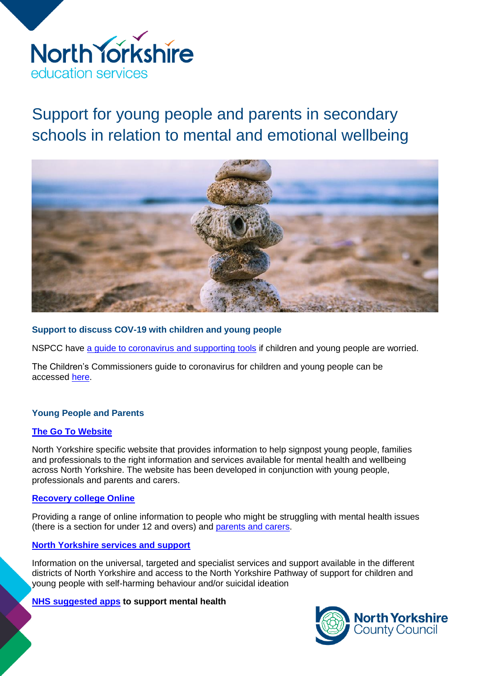

Support for young people and parents in secondary schools in relation to mental and emotional wellbeing



### **Support to discuss COV-19 with children and young people**

NSPCC have [a guide to coronavirus and supporting tools](https://www.childline.org.uk/info-advice/your-feelings/anxiety-stress-panic/worries-about-the-world/coronavirus/) if children and young people are worried.

The Children's Commissioners guide to coronavirus for children and young people can be accessed [here.](https://www.childrenscommissioner.gov.uk/publication/childrens-guide-to-coronavirus/)

### **Young People and Parents**

### **[The Go To Website](https://www.thegoto.org.uk/)**

North Yorkshire specific website that provides information to help signpost young people, families and professionals to the right information and services available for mental health and wellbeing across North Yorkshire. The website has been developed in conjunction with young people, professionals and parents and carers.

### **[Recovery college Online](https://www.recoverycollegeonline.co.uk/)**

Providing a range of online information to people who might be struggling with mental health issues (there is a section for under 12 and overs) and [parents and carers.](https://www.recoverycollegeonline.co.uk/young-people/for-parents-and-carers/)

# **[North Yorkshire services and support](https://www.northyorks.gov.uk/support-children-young-people-and-their-families#emot)**

Information on the universal, targeted and specialist services and support available in the different districts of North Yorkshire and access to the North Yorkshire Pathway of support for children and young people with self-harming behaviour and/or suicidal ideation

### **[NHS suggested apps](https://www.nhs.uk/apps-library/category/mental-health/) to support mental health**

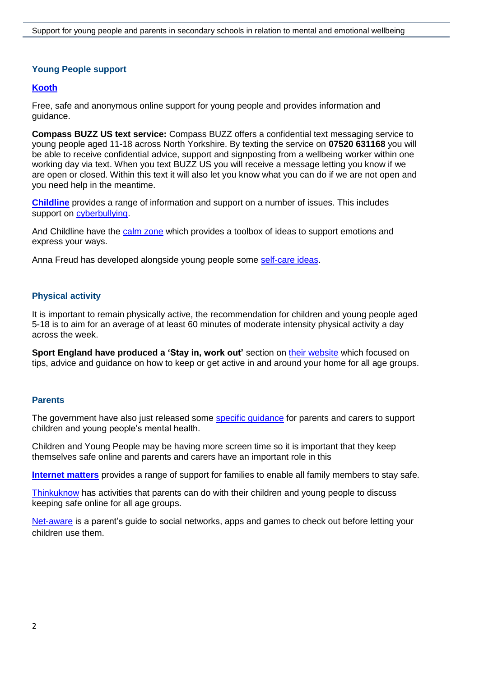# **Young People support**

# **[Kooth](https://www.kooth.com/)**

Free, safe and anonymous online support for young people and provides information and guidance.

**Compass BUZZ US text service:** Compass BUZZ offers a confidential text messaging service to young people aged 11-18 across North Yorkshire. By texting the service on **07520 631168** you will be able to receive confidential advice, support and signposting from a wellbeing worker within one working day via text. When you text BUZZ US you will receive a message letting you know if we are open or closed. Within this text it will also let you know what you can do if we are not open and you need help in the meantime.

**[Childline](https://www.childline.org.uk/)** provides a range of information and support on a number of issues. This includes support on [cyberbullying.](https://www.childline.org.uk/info-advice/bullying-abuse-safety/types-bullying/bullying-cyberbullying/)

And Childline have the [calm zone](https://www.childline.org.uk/toolbox/calm-zone/) which provides a toolbox of ideas to support emotions and express your ways.

Anna Freud has developed alongside young people some [self-care ideas.](https://www.annafreud.org/on-my-mind/self-care/)

# **Physical activity**

It is important to remain physically active, the recommendation for children and young people aged 5-18 is to aim for an average of at least 60 minutes of moderate intensity physical activity a day across the week.

**Sport England have produced a 'Stay in, work out'** section on [their website](https://www.sportengland.org/stayinworkout) which focused on tips, advice and guidance on how to keep or get active in and around your home for all age groups.

### **Parents**

The government have also just released some [specific guidance](https://www.gov.uk/government/publications/covid-19-guidance-on-supporting-children-and-young-peoples-mental-health-and-wellbeing) for parents and carers to support children and young people's mental health.

Children and Young People may be having more screen time so it is important that they keep themselves safe online and parents and carers have an important role in this

**[Internet matters](https://www.internetmatters.org/)** provides a range of support for families to enable all family members to stay safe.

[Thinkuknow](https://www.thinkuknow.co.uk/parents/Support-tools/home-activity-worksheets/) has activities that parents can do with their children and young people to discuss keeping safe online for all age groups.

[Net-aware](https://www.net-aware.org.uk/) is a parent's guide to social networks, apps and games to check out before letting your children use them.